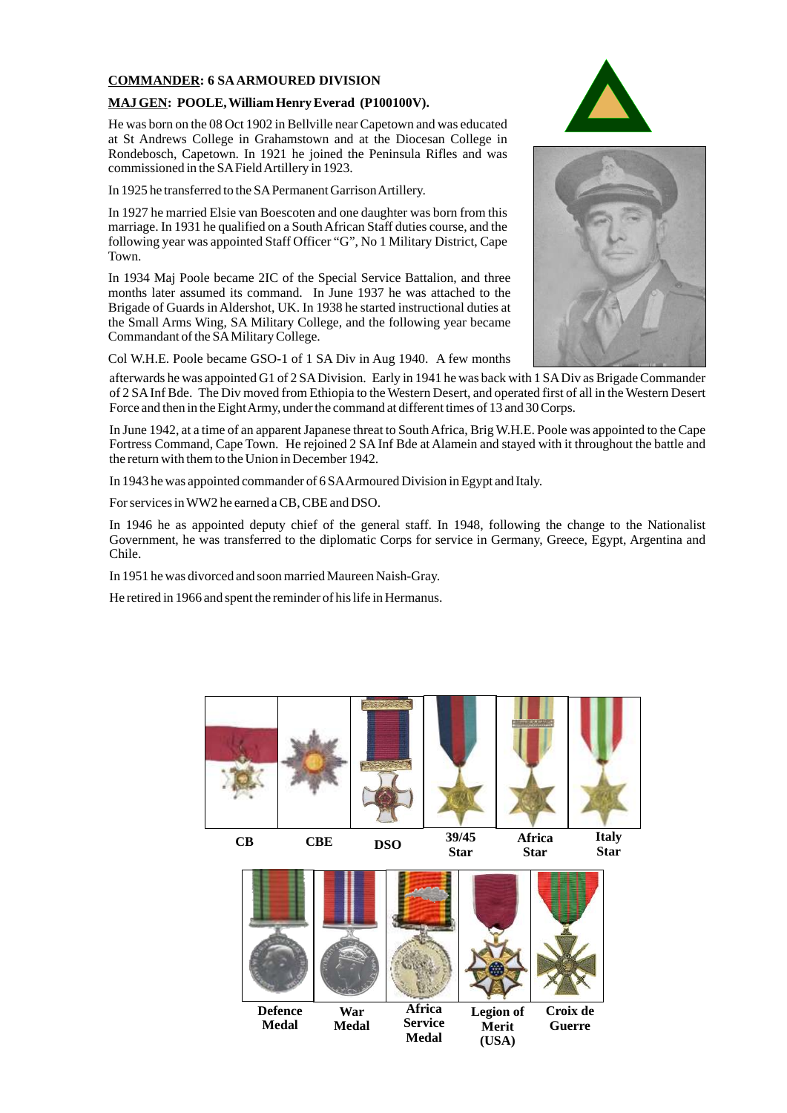#### **COMMANDER: 6 SAARMOURED DIVISION**

#### **MAJ GEN: POOLE, William Henry Everad (P100100V).**

He was born on the 08 Oct 1902 in Bellville near Capetown and was educated at St Andrews College in Grahamstown and at the Diocesan College in Rondebosch, Capetown. In 1921 he joined the Peninsula Rifles and was commissioned in the SAField Artillery in 1923.

In 1925 he transferred to the SAPermanent Garrison Artillery.

In 1927 he married Elsie van Boescoten and one daughter was born from this marriage. In 1931 he qualified on a South African Staff duties course, and the following year was appointed Staff Officer "G", No 1 Military District, Cape Town.

In 1934 Maj Poole became 2IC of the Special Service Battalion, and three months later assumed its command. In June 1937 he was attached to the Brigade of Guards in Aldershot, UK. In 1938 he started instructional duties at the Small Arms Wing, SA Military College, and the following year became Commandant of the SAMilitary College.

Col W.H.E. Poole became GSO-1 of 1 SA Div in Aug 1940. A few months

afterwards he was appointed G1 of 2 SADivision. Early in 1941 he was back with 1 SADiv as Brigade Commander of 2 SAInf Bde. The Div moved from Ethiopia to the Western Desert, and operated first of all in the Western Desert Force and then in the Eight Army, under the command at different times of 13 and 30 Corps.

In June 1942, at a time of an apparent Japanese threat to South Africa, Brig W.H.E. Poole was appointed to the Cape Fortress Command, Cape Town. He rejoined 2 SA Inf Bde at Alamein and stayed with it throughout the battle and the return with them to the Union in December 1942.

In 1943 he was appointed commander of 6 SAArmoured Division in Egypt and Italy.

For services in WW2 he earned a CB, CBE and DSO.

In 1946 he as appointed deputy chief of the general staff. In 1948, following the change to the Nationalist Government, he was transferred to the diplomatic Corps for service in Germany, Greece, Egypt, Argentina and Chile.

In 1951 he was divorced and soon married Maureen Naish-Gray.

He retired in 1966 and spent the reminder of his life in Hermanus.